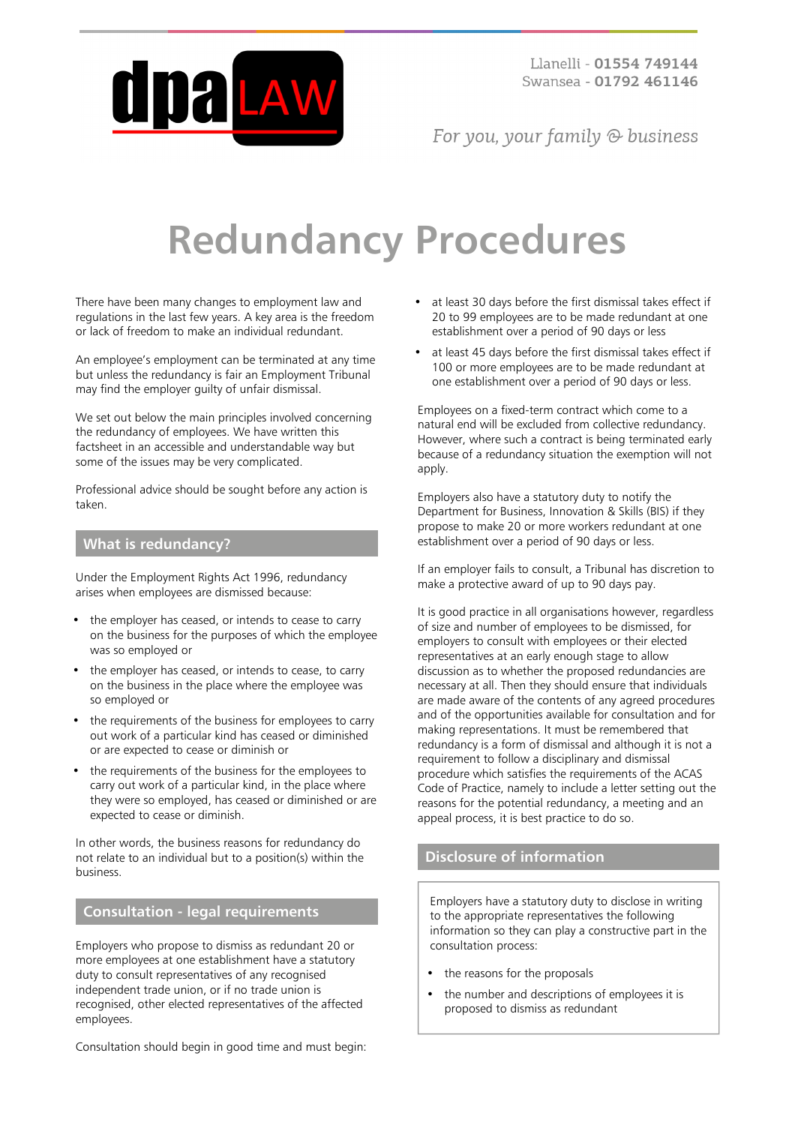

For you, your family  $\odot$  business

# **Redundancy Procedures**

There have been many changes to employment law and regulations in the last few years. A key area is the freedom or lack of freedom to make an individual redundant.

An employee's employment can be terminated at any time but unless the redundancy is fair an Employment Tribunal may find the employer guilty of unfair dismissal.

We set out below the main principles involved concerning the redundancy of employees. We have written this factsheet in an accessible and understandable way but some of the issues may be very complicated.

Professional advice should be sought before any action is taken.

#### **What is redundancy?**

Under the Employment Rights Act 1996, redundancy arises when employees are dismissed because:

- the employer has ceased, or intends to cease to carry on the business for the purposes of which the employee was so employed or
- the employer has ceased, or intends to cease, to carry on the business in the place where the employee was so employed or
- the requirements of the business for employees to carry out work of a particular kind has ceased or diminished or are expected to cease or diminish or
- the requirements of the business for the employees to carry out work of a particular kind, in the place where they were so employed, has ceased or diminished or are expected to cease or diminish.

In other words, the business reasons for redundancy do not relate to an individual but to a position(s) within the business.

#### **Consultation - legal requirements**

Employers who propose to dismiss as redundant 20 or more employees at one establishment have a statutory duty to consult representatives of any recognised independent trade union, or if no trade union is recognised, other elected representatives of the affected employees.

Consultation should begin in good time and must begin:

- at least 30 days before the first dismissal takes effect if 20 to 99 employees are to be made redundant at one establishment over a period of 90 days or less
- at least 45 days before the first dismissal takes effect if 100 or more employees are to be made redundant at one establishment over a period of 90 days or less.

Employees on a fixed-term contract which come to a natural end will be excluded from collective redundancy. However, where such a contract is being terminated early because of a redundancy situation the exemption will not apply.

Employers also have a statutory duty to notify the Department for Business, Innovation & Skills (BIS) if they propose to make 20 or more workers redundant at one establishment over a period of 90 days or less.

If an employer fails to consult, a Tribunal has discretion to make a protective award of up to 90 days pay.

It is good practice in all organisations however, regardless of size and number of employees to be dismissed, for employers to consult with employees or their elected representatives at an early enough stage to allow discussion as to whether the proposed redundancies are necessary at all. Then they should ensure that individuals are made aware of the contents of any agreed procedures and of the opportunities available for consultation and for making representations. It must be remembered that redundancy is a form of dismissal and although it is not a requirement to follow a disciplinary and dismissal procedure which satisfies the requirements of the ACAS Code of Practice, namely to include a letter setting out the reasons for the potential redundancy, a meeting and an appeal process, it is best practice to do so.

# **Disclosure of information**

Employers have a statutory duty to disclose in writing to the appropriate representatives the following information so they can play a constructive part in the consultation process:

- the reasons for the proposals
- the number and descriptions of employees it is proposed to dismiss as redundant